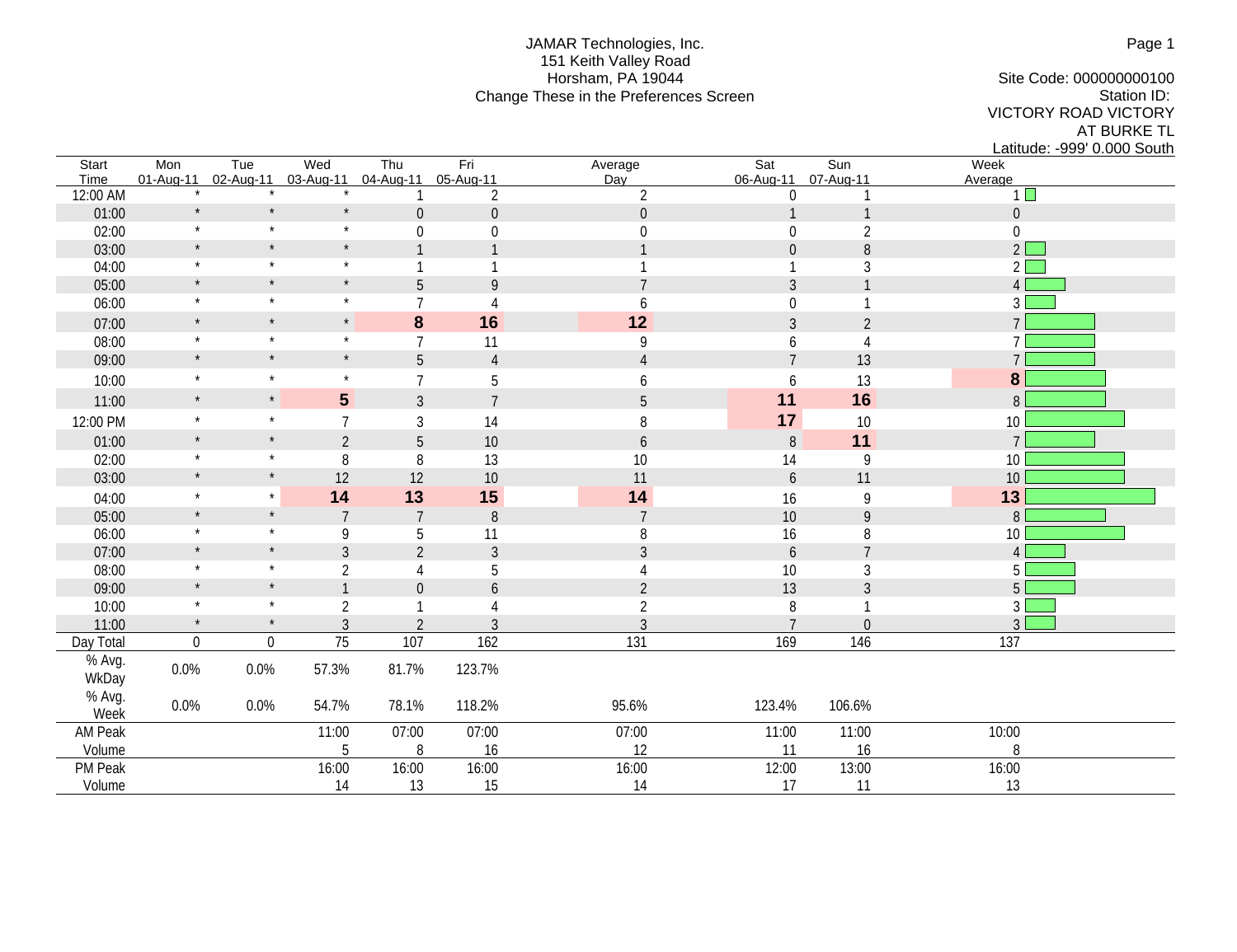## JAMAR Technologies, Inc. 151 Keith Valley Road Horsham, PA 19044 Change These in the Preferences Screen

Site Code: 000000000100 Station ID: VICTORY ROAD VICTORY AT BURKE TL

Latitude: -999' 0.000 South<br>Week Start Mon Tue Wed Thu Fri Average Sat Sun Week Time 01-Aug-11 02-Aug-11 03-Aug-11 04-Aug-11 05-Aug-11 Day 06-Aug-11 07-Aug-11 Average 12:00 AM  $\qquad \qquad$  \*  $\qquad \qquad$  \*  $\qquad \qquad$  1 2 2 2 0 1 1 1  $\begin{array}{ccccccccccc} 01:00 & & & * & & * & & 0 & 0 & 0 & & & 0 & 1 & 1 & & & & 0 \end{array}$ 02:00 \* \* \* \* 0 0 0 0 0 0 0 2 0 03:00 \* \* \* 1 1 1 0 8 2 04:00 \* \* \* \* 1 1 1 1 1 1 1 3 2 2 05:00 \* \* \* \* 5 9 7 7 3 1 4 06:00  $\star$   $\star$   $\star$   $\star$  7 4 6 0 1 3 07:00 \* \* \* **8 16 12** 3 2 7 08:00 \* \* \* \* 7 11 9 6 4 7 09:00 \* \* \* \* 5 4 4 7 13 7 7 10:00 \* \* \* \* 7 5 6 6 13 **8** 11:00 \* \* **5** 5 3 7 5 5 11 16 8 12:00 PM \* \* \* 7 3 14 8 1<mark>17</mark> 10 10 01:00 \* \* 2 5 10 6 8 **11** 7 02:00 \* \* 8 8 8 13 10 14 9 10 03:00 \* \* 12 12 10 11 6 11 6 11 10 04:00 \* \* **14 13 15 14** 16 9 **13** 05:00 \* \* 7 7 8 7 7 8 7 10 9 8 06:00 \* \* 9 5 11 8 16 8 10 07:00 \* \* 3 2 3 3 3 6 7 4 08:00 \* \* \* 2 4 5 4 10 3 5 09:00 \* \* \* 1 0 6 2 13 3 5  $10:00$  \* \* 2 1 4 2 2 8 1 3 11:00  $\frac{1}{2}$   $\frac{1}{2}$   $\frac{3}{3}$   $\frac{2}{2}$   $\frac{3}{3}$   $\frac{3}{3}$   $\frac{7}{3}$  0 Day Total 0 0 75 107 162 131 169 146 137 % Avg.<br>WkDay WkDay 0.0% 0.0% 57.3% 81.7% 123.7% % Avg. Week 0.0% 0.0% 54.7% 78.1% 118.2% 95.6% 123.4% 106.6% AM Peak 11:00 07:00 07:00 07:00 11:00 11:00 10:00 Volume 2008 16 16 16 16 16 17 17 18 18 18 19 18 18 19 18 18 18 19 18 18 18 19 18 18 18 18 19 18 18 1 PM Peak 16:00 16:00 16:00 16:00 16:00 16:00 16:00 16:00 16:00 13:00 13:00 16:00 Volume 14 13 15 14 13 15 16 17 11 13 13

Page 1